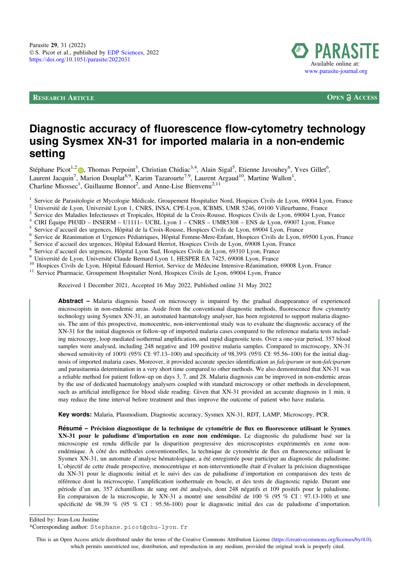**RESEARCH ARTICLE OPEN a ACCESS** 



# Diagnostic accuracy of fluorescence flow-cytometry technology using Sysmex XN-31 for imported malaria in a non-endemic setting

Stéphane Picot<sup>1,[2](https://orcid.org/0000-0002-5735-6759)</sup> (b), Thomas Perpoint<sup>3</sup>, Christian Chidiac<sup>3,4</sup>, Alain Sigal<sup>5</sup>, Etienne Javouhey<sup>6</sup>, Yves Gillet<sup>6</sup>, Laurent Jacquin<sup>7</sup>, Marion Douplat<sup>8,9</sup>, Karim Tazarourte<sup>7,9</sup>, Laurent Argaud<sup>10</sup>, Martine Wallon<sup>1</sup>, Charline Miossec<sup>1</sup>, Guillaume Bonnot<sup>2</sup>, and Anne-Lise Bienvenu<sup>2,11</sup>

<sup>1</sup> Service de Parasitologie et Mycologie Médicale, Groupement Hospitalier Nord, Hospices Civils de Lyon, 69004 Lyon, France <sup>2</sup> Université de Lyon, Université Lyon 1, CNRS, INSA, CPE-Lyon, ICBMS, UMR 5246, 69100 Villeurb

Received 1 December 2021, Accepted 16 May 2022, Published online 31 May 2022

Abstract - Malaria diagnosis based on microscopy is impaired by the gradual disappearance of experienced microscopists in non-endemic areas. Aside from the conventional diagnostic methods, fluorescence flow cytometry technology using Sysmex XN-31, an automated haematology analyser, has been registered to support malaria diagnosis. The aim of this prospective, monocentric, non-interventional study was to evaluate the diagnostic accuracy of the XN-31 for the initial diagnosis or follow-up of imported malaria cases compared to the reference malaria tests including microscopy, loop mediated isothermal amplification, and rapid diagnostic tests. Over a one-year period, 357 blood samples were analysed, including 248 negative and 109 positive malaria samples. Compared to microscopy, XN-31 showed sensitivity of 100% (95% CI: 97.13–100) and specificity of 98.39% (95% CI: 95.56–100) for the initial diagnosis of imported malaria cases. Moreover, it provided accurate species identification as *falciparum* or non-*falciparum* and parasitaemia determination in a very short time compared to other methods. We also demonstrated that XN-31 was a reliable method for patient follow-up on days 3, 7, and 28. Malaria diagnosis can be improved in non-endemic areas by the use of dedicated haematology analysers coupled with standard microscopy or other methods in development, such as artificial intelligence for blood slide reading. Given that XN-31 provided an accurate diagnosis in 1 min, it may reduce the time interval before treatment and thus improve the outcome of patient who have malaria.

Key words: Malaria, Plasmodium, Diagnostic accuracy, Sysmex XN-31, RDT, LAMP, Microscopy, PCR.

Résumé – Précision diagnostique de la technique de cytométrie de flux en fluorescence utilisant le Sysmex XN-31 pour le paludisme d'importation en zone non endémique. Le diagnostic du paludisme basé sur la microscopie est rendu difficile par la disparition progressive des microscopistes expérimentés en zone nonendémique. À côté des méthodes conventionnelles, la technique de cytométrie de flux en fluorescence utilisant le Sysmex XN-31, un automate d'analyse hématologique, a été enregistrée pour participer au diagnostic du paludisme. L'objectif de cette étude prospective, monocentrique et non-interventionelle était d'évaluer la précision diagnostique du XN-31 pour le diagnostic initial et le suivi des cas de paludisme d'importation en comparaison des tests de référence dont la microscopie, l'amplification isothermale en boucle, et des tests de diagnostic rapide. Durant une période d'un an, 357 échantillons de sang ont été analysés, dont 248 négatifs et 109 positifs pour le paludisme. En comparaison de la microscopie, le XN-31 a montré une sensibilité de 100 % (95 % CI : 97.13-100) et une spécificité de 98.39 % (95 % CI : 95.56-100) pour le diagnostic initial des cas de paludisme d'importation.

Edited by: Jean-Lou Justine

\*Corresponding author: Stephane.picot@chu-lyon.fr

This is an Open Access article distributed under the terms of the Creative Commons Attribution License [\(https://creativecommons.org/licenses/by/4.0](https://creativecommons.org/licenses/by/4.0/)), which permits unrestricted use, distribution, and reproduction in any medium, provided the original work is properly cited.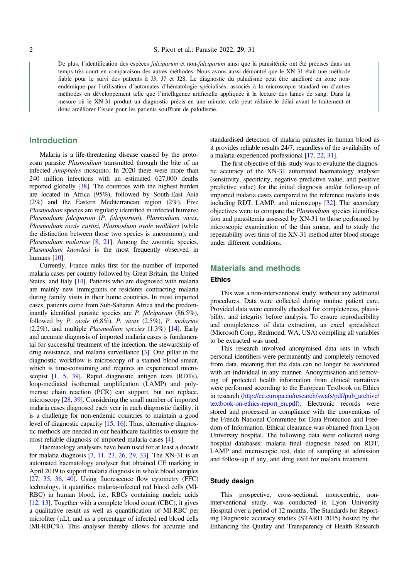De plus, l'identification des espèces *falciparum* et non-*falciparum* ainsi que la parasitémie ont été précises dans un temps très court en comparaison des autres méthodes. Nous avons aussi démontré que le XN-31 était une méthode fiable pour le suivi des patients à J3, J7 et J28. Le diagnostic du paludisme peut être amélioré en zone nonendémique par l'utilisation d'automates d'hématologie spécialisés, associés à la microscopie standard ou d'autres méthodes en développement telle que l'intelligence artificielle appliquée à la lecture des lames de sang. Dans la mesure où le XN-31 produit un diagnostic précis en une minute, cela peut réduire le délai avant le traitement et donc améliorer l'issue pour les patients souffrant de paludisme.

## Introduction

Malaria is a life-threatening disease caused by the protozoan parasite Plasmodium transmitted through the bite of an infected Anopheles mosquito. In 2020 there were more than 240 million infections with an estimated 627,000 deaths reported globally [\[38](#page-7-0)]. The countries with the highest burden are located in Africa (95%), followed by South-East Asia (2%) and the Eastern Mediterranean region (2%). Five Plasmodium species are regularly identified in infected humans: Plasmodium falciparum (P. falciparum), Plasmodium vivax, Plasmodium ovale curtisi, Plasmodium ovale wallikeri (while the distinction between those two species is uncommon), and Plasmodium malariae [\[8,](#page-6-0) [21\]](#page-7-0). Among the zoonotic species, Plasmodium knowlesi is the most frequently observed in humans [\[10\]](#page-6-0).

Currently, France ranks first for the number of imported malaria cases per country followed by Great Britain, the United States, and Italy [\[14\]](#page-7-0). Patients who are diagnosed with malaria are mainly new immigrants or residents contracting malaria during family visits in their home countries. In most imported cases, patients come from Sub-Saharan Africa and the predominantly identified parasite species are P. falciparum (86.5%), followed by  $P.$  ovale  $(6.8\%)$ ,  $P.$  vivax  $(2.5\%)$ ,  $P.$  malariae (2.2%), and multiple Plasmodium species (1.3%) [[14](#page-7-0)]. Early and accurate diagnosis of imported malaria cases is fundamental for successful treatment of the infection, the stewardship of drug resistance, and malaria surveillance [\[3](#page-6-0)]. One pillar in the diagnostic workflow is microscopy of a stained blood smear, which is time-consuming and requires an experienced microscopist [\[1,](#page-6-0) [5,](#page-6-0) [39\]](#page-7-0). Rapid diagnostic antigen tests (RDTs), loop-mediated isothermal amplification (LAMP) and polymerase chain reaction (PCR) can support, but not replace, microscopy [[28](#page-7-0), [39\]](#page-7-0). Considering the small number of imported malaria cases diagnosed each year in each diagnostic facility, it is a challenge for non-endemic countries to maintain a good level of diagnostic capacity [\[15](#page-7-0), [16\]](#page-7-0). Thus, alternative diagnostic methods are needed in our healthcare facilities to ensure the most reliable diagnosis of imported malaria cases [\[4\]](#page-6-0).

Haematology analysers have been used for at least a decade for malaria diagnosis [[7,](#page-6-0) [11,](#page-6-0) [23](#page-7-0), [26,](#page-7-0) [29,](#page-7-0) [33](#page-7-0)]. The XN-31 is an automated haematology analyser that obtained CE marking in April 2019 to support malaria diagnosis in whole blood samples [[27](#page-7-0), [35](#page-7-0), [36,](#page-7-0) [40\]](#page-7-0). Using fluorescence flow cytometry (FFC) technology, it quantifies malaria-infected red blood cells (MI-RBC) in human blood, i.e., RBCs containing nucleic acids [[12](#page-6-0), [13](#page-6-0)]. Together with a complete blood count (CBC), it gives a qualitative result as well as quantification of MI-RBC per microliter  $(\mu L)$ , and as a percentage of infected red blood cells (MI-RBC%). This analyser thereby allows for accurate and standardised detection of malaria parasites in human blood as it provides reliable results 24/7, regardless of the availability of a malaria-experienced professional [[17](#page-7-0), [22](#page-7-0), [31\]](#page-7-0).

The first objective of this study was to evaluate the diagnostic accuracy of the XN-31 automated haematology analyser (sensitivity, specificity, negative predictive value, and positive predictive value) for the initial diagnosis and/or follow-up of imported malaria cases compared to the reference malaria tests including RDT, LAMP, and microscopy [\[32\]](#page-7-0). The secondary objectives were to compare the Plasmodium species identification and parasitemia assessed by XN-31 to those performed by microscopic examination of the thin smear, and to study the repeatability over time of the XN-31 method after blood storage under different conditions.

# Materials and methods

# Ethics

This was a non-interventional study, without any additional procedures. Data were collected during routine patient care. Provided data were centrally checked for completeness, plausibility, and integrity before analysis. To ensure reproducibility and completeness of data extraction, an excel spreadsheet (Microsoft Corp., Redmond, WA, USA) compiling all variables to be extracted was used.

This research involved anonymised data sets in which personal identifiers were permanently and completely removed from data, meaning that the data can no longer be associated with an individual in any manner. Anonymisation and removing of protected health information from clinical narratives were performed according to the European Textbook on Ethics in research ([http://ec.europa.eu/research/swafs/pdf/pub\\_archive/](http://ec.europa.eu/research/swafs/pdf/pub_archive/textbook-on-ethics-report_en.pdf) [textbook-on-ethics-report\\_en.pdf](http://ec.europa.eu/research/swafs/pdf/pub_archive/textbook-on-ethics-report_en.pdf)). Electronic records were stored and processed in compliance with the conventions of the French National Committee for Data Protection and Freedom of Information. Ethical clearance was obtained from Lyon University hospital. The following data were collected using hospital databases: malaria final diagnosis based on RDT, LAMP and microscopic test, date of sampling at admission and follow-up if any, and drug used for malaria treatment.

#### Study design

This prospective, cross-sectional, monocentric, noninterventional study, was conducted in Lyon University Hospital over a period of 12 months. The Standards for Reporting Diagnostic accuracy studies (STARD 2015) hosted by the Enhancing the Quality and Transparency of Health Research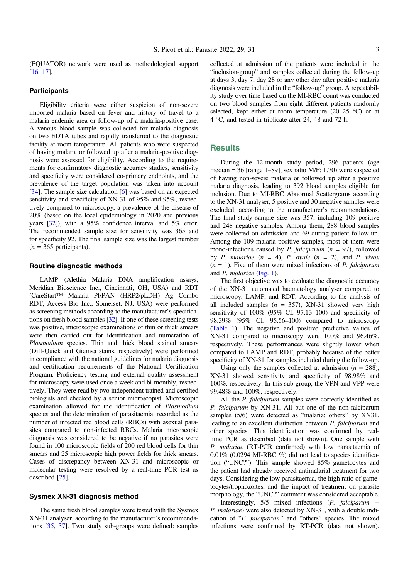(EQUATOR) network were used as methodological support [[16](#page-7-0), [17\]](#page-7-0).

### **Participants**

Eligibility criteria were either suspicion of non-severe imported malaria based on fever and history of travel to a malaria endemic area or follow-up of a malaria-positive case. A venous blood sample was collected for malaria diagnosis on two EDTA tubes and rapidly transferred to the diagnostic facility at room temperature. All patients who were suspected of having malaria or followed up after a malaria-positive diagnosis were assessed for eligibility. According to the requirements for confirmatory diagnostic accuracy studies, sensitivity and specificity were considered co-primary endpoints, and the prevalence of the target population was taken into account [[34](#page-7-0)]. The sample size calculation [\[6](#page-6-0)] was based on an expected sensitivity and specificity of XN-31 of 95% and 95%, respectively compared to microscopy, a prevalence of the disease of 20% (based on the local epidemiology in 2020 and previous years [\[32\]](#page-7-0)), with a 95% confidence interval and 5% error. The recommended sample size for sensitivity was 365 and for specificity 92. The final sample size was the largest number  $(n = 365$  participants).

#### Routine diagnostic methods

LAMP (Alethia Malaria DNA amplification assays, Meridian Bioscience Inc., Cincinnati, OH, USA) and RDT (CareStart™ Malaria Pf/PAN (HRP2/pLDH) Ag Combo RDT, Access Bio Inc., Somerset, NJ, USA) were performed as screening methods according to the manufacturer's specifications on fresh blood samples [\[32](#page-7-0)]. If one of these screening tests was positive, microscopic examinations of thin or thick smears were then carried out for identification and numeration of Plasmodium species. Thin and thick blood stained smears (Diff-Quick and Giemsa stains, respectively) were performed in compliance with the national guidelines for malaria diagnosis and certification requirements of the National Certification Program. Proficiency testing and external quality assessment for microscopy were used once a week and bi-monthly, respectively. They were read by two independent trained and certified biologists and checked by a senior microscopist. Microscopic examination allowed for the identification of Plasmodium species and the determination of parasitaemia, recorded as the number of infected red blood cells (RBCs) with asexual parasites compared to non-infected RBCs. Malaria microscopic diagnosis was considered to be negative if no parasites were found in 100 microscopic fields of 200 red blood cells for thin smears and 25 microscopic high power fields for thick smears. Cases of discrepancy between XN-31 and microscopic or molecular testing were resolved by a real-time PCR test as described [\[25](#page-7-0)].

#### Sysmex XN-31 diagnosis method

The same fresh blood samples were tested with the Sysmex XN-31 analyser, according to the manufacturer's recommendations [\[35](#page-7-0), [37\]](#page-7-0). Two study sub-groups were defined: samples collected at admission of the patients were included in the "inclusion-group" and samples collected during the follow-up at days 3, day 7, day 28 or any other day after positive malaria diagnosis were included in the "follow-up" group. A repeatability study over time based on the MI-RBC count was conducted on two blood samples from eight different patients randomly selected, kept either at room temperature  $(20-25 \degree C)$  or at 4 C, and tested in triplicate after 24, 48 and 72 h.

# **Results**

During the 12-month study period, 296 patients (age median =  $36$  [range 1–89]; sex ratio M/F: 1.70) were suspected of having non-severe malaria or followed up after a positive malaria diagnosis, leading to 392 blood samples eligible for inclusion. Due to MI-RBC Abnormal Scattergrams according to the XN-31 analyser, 5 positive and 30 negative samples were excluded, according to the manufacturer's recommendations. The final study sample size was 357, including 109 positive and 248 negative samples. Among them, 288 blood samples were collected on admission and 69 during patient follow-up. Among the 109 malaria positive samples, most of them were mono-infections caused by *P. falciparum* ( $n = 97$ ), followed by P. malariae  $(n = 4)$ , P. ovale  $(n = 2)$ , and P. vivax  $(n = 1)$ . Five of them were mixed infections of *P. falciparum* and P. malariae ([Fig. 1\)](#page-3-0).

The first objective was to evaluate the diagnostic accuracy of the XN-31 automated haematology analyser compared to microscopy, LAMP, and RDT. According to the analysis of all included samples ( $n = 357$ ), XN-31 showed very high sensitivity of 100% (95% CI: 97.13–100) and specificity of 98.39% (95% CI: 95.56–100) compared to microscopy ([Table 1](#page-4-0)). The negative and positive predictive values of XN-31 compared to microscopy were 100% and 96.46%, respectively. These performances were slightly lower when compared to LAMP and RDT, probably because of the better specificity of XN-31 for samples included during the follow-up.

Using only the samples collected at admission ( $n = 288$ ), XN-31 showed sensitivity and specificity of 98.98% and 100%, respectively. In this sub-group, the VPN and VPP were 99.48% and 100%, respectively.

All the *P. falciparum* samples were correctly identified as P. falciparum by XN-31. All but one of the non-falciparum samples (5/6) were detected as "malaria: others" by XN31, leading to an excellent distinction between P. falciparum and other species. This identification was confirmed by realtime PCR as described (data not shown). One sample with P. malariae (RT-PCR confirmed) with low parasitaemia of  $0.01\%$  (0.0294 MI-RBC %) did not lead to species identification ("UNC?"). This sample showed 85% gametocytes and the patient had already received antimalarial treatment for two days. Considering the low parasitaemia, the high ratio of gametocytes/trophozoites, and the impact of treatment on parasite morphology, the "UNC?" comment was considered acceptable.

Interestingly, 5/5 mixed infections (P. falciparum + P. malariae) were also detected by XN-31, with a double indication of "P. falciparum" and "others" species. The mixed infections were confirmed by RT-PCR (data not shown).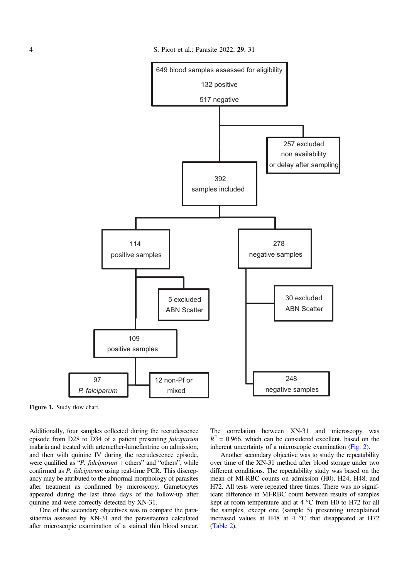<span id="page-3-0"></span>

Figure 1. Study flow chart.

Additionally, four samples collected during the recrudescence episode from D28 to D34 of a patient presenting falciparum malaria and treated with artemether-lumefantrine on admission, and then with quinine IV during the recrudescence episode, were qualified as "*P. falciparum* + others" and "others", while confirmed as *P. falciparum* using real-time PCR. This discrepancy may be attributed to the abnormal morphology of parasites after treatment as confirmed by microscopy. Gametocytes appeared during the last three days of the follow-up after quinine and were correctly detected by XN-31.

One of the secondary objectives was to compare the parasitaemia assessed by XN-31 and the parasitaemia calculated after microscopic examination of a stained thin blood smear. The correlation between XN-31 and microscopy was  $R^2$  = 0.966, which can be considered excellent, based on the inherent uncertainty of a microscopic examination [\(Fig. 2](#page-4-0)).

Another secondary objective was to study the repeatability over time of the XN-31 method after blood storage under two different conditions. The repeatability study was based on the mean of MI-RBC counts on admission (H0), H24, H48, and H72. All tests were repeated three times. There was no significant difference in MI-RBC count between results of samples kept at room temperature and at  $4^{\circ}$ C from H0 to H72 for all the samples, except one (sample 5) presenting unexplained increased values at H48 at  $4^{\circ}$ C that disappeared at H72 ([Table 2\)](#page-5-0).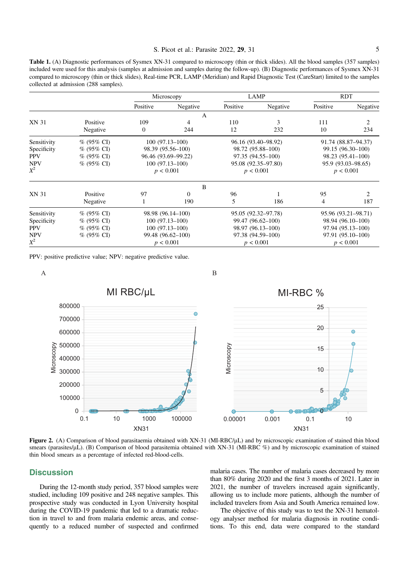#### S. Picot et al.: Parasite 2022, 29, 31 5

<span id="page-4-0"></span>Table 1. (A) Diagnostic performances of Sysmex XN-31 compared to microscopy (thin or thick slides). All the blood samples (357 samples) included were used for this analysis (samples at admission and samples during the follow-up). (B) Diagnostic performances of Sysmex XN-31 compared to microscopy (thin or thick slides), Real-time PCR, LAMP (Meridian) and Rapid Diagnostic Test (CareStart) limited to the samples collected at admission (288 samples).

|             |                      |                                          | Microscopy         | LAMP                |                   | <b>RDT</b>          |                             |
|-------------|----------------------|------------------------------------------|--------------------|---------------------|-------------------|---------------------|-----------------------------|
|             |                      | Positive                                 | Negative           | Positive            | Negative          | Positive            | Negative                    |
|             |                      |                                          | A                  |                     |                   |                     |                             |
| XN 31       | Positive<br>Negative | 109<br>$\overline{0}$                    | 4<br>244           | 110<br>12           | 3<br>232          | 111<br>10           | $\overline{c}$<br>234       |
| Sensitivity | $% (95\% CI)$        |                                          | $100(97.13 - 100)$ | 96.16 (93.40–98.92) |                   | 91.74 (88.87-94.37) |                             |
| Specificity | % (95% CI)           |                                          | 98.39 (95.56–100)  | 98.72 (95.88-100)   |                   | 99.15 (96.30-100)   |                             |
| <b>PPV</b>  | % (95% CI)           | 96.46 (93.69-99.22)<br>97.35 (94.55–100) |                    | 98.23 (95.41-100)   |                   |                     |                             |
| <b>NPV</b>  | $% (95\% CI)$        |                                          | $100(97.13 - 100)$ | 95.08 (92.35–97.80) |                   | 95.9 (93.03–98.65)  |                             |
| $X^2$       |                      |                                          | p < 0.001          | p < 0.001           |                   | p < 0.001           |                             |
|             |                      |                                          | B                  |                     |                   |                     |                             |
| XN 31       | Positive             | 97                                       | $\Omega$           | 96                  |                   | 95                  | $\mathcal{D}_{\mathcal{L}}$ |
|             | Negative             | 1                                        | 190                | 5                   | 186               | 4                   | 187                         |
| Sensitivity | $% (95\% CI)$        | 98.98 (96.14–100)                        |                    | 95.05 (92.32–97.78) |                   | 95.96 (93.21-98.71) |                             |
| Specificity | % (95% CI)           | $100(97.13 - 100)$                       |                    | 99.47 (96.62-100)   |                   | 98.94 (96.10-100)   |                             |
| <b>PPV</b>  | $% (95\% CI)$        | $100(97.13 - 100)$                       |                    | 98.97 (96.13-100)   |                   | 97.94 (95.13-100)   |                             |
| <b>NPV</b>  | $% (95\% CI)$        | 99.48 (96.62-100)<br>97.38 (94.59-100)   |                    |                     | 97.91 (95.10-100) |                     |                             |
| $X^2$       |                      |                                          | p < 0.001          | p < 0.001           |                   | p < 0.001           |                             |

PPV: positive predictive value; NPV: negative predictive value.



Figure 2. (A) Comparison of blood parasitaemia obtained with XN-31 (MI-RBC/uL) and by microscopic examination of stained thin blood smears (parasites/ $\mu$ L). (B) Comparison of blood parasitemia obtained with XN-31 (MI-RBC %) and by microscopic examination of stained thin blood smears as a percentage of infected red-blood-cells.

# **Discussion**

During the 12-month study period, 357 blood samples were studied, including 109 positive and 248 negative samples. This prospective study was conducted in Lyon University hospital during the COVID-19 pandemic that led to a dramatic reduction in travel to and from malaria endemic areas, and consequently to a reduced number of suspected and confirmed malaria cases. The number of malaria cases decreased by more than 80% during 2020 and the first 3 months of 2021. Later in 2021, the number of travelers increased again significantly, allowing us to include more patients, although the number of included travelers from Asia and South America remained low.

The objective of this study was to test the XN-31 hematology analyser method for malaria diagnosis in routine conditions. To this end, data were compared to the standard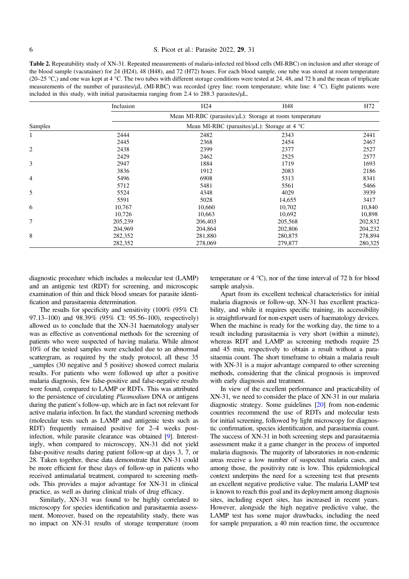#### <span id="page-5-0"></span>6 S. Picot et al.: Parasite 2022, 29, 31

Table 2. Repeatability study of XN-31. Repeated measurements of malaria-infected red blood cells (MI-RBC) on inclusion and after storage of the blood sample (vacutainer) for 24 (H24), 48 (H48), and 72 (H72) hours. For each blood sample, one tube was stored at room temperature (20–25 °C,) and one was kept at 4 °C. The two tubes with different storage conditions were tested at 24, 48, and 72 h and the mean of triplicate measurements of the number of parasites/µL (MI-RBC) was recorded (grey line: room temperature; white line: 4 °C). Eight patients were included in this study, with initial parasitaemia ranging from  $2.4$  to  $288.3$  parasites/ $\mu$ L.

|                | Inclusion                                                                                                    | H <sub>24</sub> | H48     | H72     |  |  |  |  |
|----------------|--------------------------------------------------------------------------------------------------------------|-----------------|---------|---------|--|--|--|--|
|                | Mean MI-RBC (parasites/µL): Storage at room temperature<br>Mean MI-RBC (parasites/ $\mu$ L): Storage at 4 °C |                 |         |         |  |  |  |  |
| Samples        |                                                                                                              |                 |         |         |  |  |  |  |
| 1              | 2444                                                                                                         | 2482            | 2343    | 2441    |  |  |  |  |
|                | 2445                                                                                                         | 2368            | 2454    | 2467    |  |  |  |  |
| $\overline{c}$ | 2438                                                                                                         | 2399            | 2377    | 2527    |  |  |  |  |
|                | 2429                                                                                                         | 2462            | 2525    | 2577    |  |  |  |  |
| 3              | 2947                                                                                                         | 1884            | 1719    | 1693    |  |  |  |  |
|                | 3836                                                                                                         | 1912            | 2083    | 2186    |  |  |  |  |
| 4              | 5496                                                                                                         | 6908            | 5313    | 8341    |  |  |  |  |
|                | 5712                                                                                                         | 5481            | 5561    | 5466    |  |  |  |  |
| 5              | 5524                                                                                                         | 4348            | 4029    | 3939    |  |  |  |  |
|                | 5591                                                                                                         | 5028            | 14,655  | 3417    |  |  |  |  |
| 6              | 10,767                                                                                                       | 10,660          | 10,702  | 10,840  |  |  |  |  |
|                | 10,726                                                                                                       | 10,663          | 10,692  | 10,898  |  |  |  |  |
| 7              | 205,239                                                                                                      | 206,403         | 205,568 | 202,832 |  |  |  |  |
|                | 204,969                                                                                                      | 204,864         | 202,806 | 204,232 |  |  |  |  |
| 8              | 282,352                                                                                                      | 281,880         | 280,875 | 278,894 |  |  |  |  |
|                | 282,352                                                                                                      | 278,069         | 279,877 | 280,325 |  |  |  |  |

diagnostic procedure which includes a molecular test (LAMP) and an antigenic test (RDT) for screening, and microscopic examination of thin and thick blood smears for parasite identification and parasitaemia determination.

The results for specificity and sensitivity (100% (95% CI: 97.13–100) and 98.39% (95% CI: 95.56–100), respectively) allowed us to conclude that the XN-31 haematology analyser was as effective as conventional methods for the screening of patients who were suspected of having malaria. While almost 10% of the tested samples were excluded due to an abnormal scattergram, as required by the study protocol, all these 35 \_samples (30 negative and 5 positive) showed correct malaria results. For patients who were followed up after a positive malaria diagnosis, few false-positive and false-negative results were found, compared to LAMP or RDTs. This was attributed to the persistence of circulating Plasmodium DNA or antigens during the patient's follow-up, which are in fact not relevant for active malaria infection. In fact, the standard screening methods (molecular tests such as LAMP and antigenic tests such as RDT) frequently remained positive for 2–4 weeks postinfection, while parasite clearance was obtained [[9\]](#page-6-0). Interestingly, when compared to microscopy, XN-31 did not yield false-positive results during patient follow-up at days 3, 7, or 28. Taken together, these data demonstrate that XN-31 could be more efficient for these days of follow-up in patients who received antimalarial treatment, compared to screening methods. This provides a major advantage for XN-31 in clinical practice, as well as during clinical trials of drug efficacy.

Similarly, XN-31 was found to be highly correlated to microscopy for species identification and parasitaemia assessment. Moreover, based on the repeatability study, there was no impact on XN-31 results of storage temperature (room temperature or  $4^{\circ}$ C), nor of the time interval of 72 h for blood sample analysis.

Apart from its excellent technical characteristics for initial malaria diagnosis or follow-up, XN-31 has excellent practicability, and while it requires specific training, its accessibility is straightforward for non-expert users of haematology devices. When the machine is ready for the working day, the time to a result including parasitaemia is very short (within a minute), whereas RDT and LAMP as screening methods require 25 and 45 min, respectively to obtain a result without a parasitaemia count. The short timeframe to obtain a malaria result with XN-31 is a major advantage compared to other screening methods, considering that the clinical prognosis is improved with early diagnosis and treatment.

In view of the excellent performance and practicability of XN-31, we need to consider the place of XN-31 in our malaria diagnostic strategy. Some guidelines [\[20\]](#page-7-0) from non-endemic countries recommend the use of RDTs and molecular tests for initial screening, followed by light microscopy for diagnostic confirmation, species identification, and parasitaemia count. The success of XN-31 in both screening steps and parasitaemia assessment make it a game changer in the process of imported malaria diagnosis. The majority of laboratories in non-endemic areas receive a low number of suspected malaria cases, and among those, the positivity rate is low. This epidemiological context underpins the need for a screening test that presents an excellent negative predictive value. The malaria LAMP test is known to reach this goal and its deployment among diagnosis sites, including expert sites, has increased in recent years. However, alongside the high negative predictive value, the LAMP test has some major drawbacks, including the need for sample preparation, a 40 min reaction time, the occurrence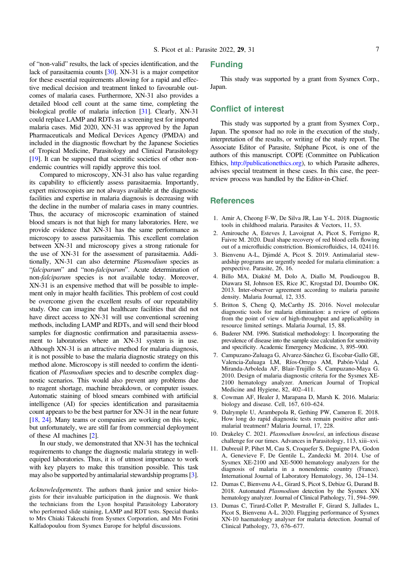<span id="page-6-0"></span>of "non-valid" results, the lack of species identification, and the lack of parasitaemia counts [\[30](#page-7-0)]. XN-31 is a major competitor for these essential requirements allowing for a rapid and effective medical decision and treatment linked to favourable outcomes of malaria cases. Furthermore, XN-31 also provides a detailed blood cell count at the same time, completing the biological profile of malaria infection [[31\]](#page-7-0). Clearly, XN-31 could replace LAMP and RDTs as a screening test for imported malaria cases. Mid 2020, XN-31 was approved by the Japan Pharmaceuticals and Medical Devices Agency (PMDA) and included in the diagnostic flowchart by the Japanese Societies of Tropical Medicine, Parasitology and Clinical Parasitology [[19](#page-7-0)]. It can be supposed that scientific societies of other nonendemic countries will rapidly approve this tool.

Compared to microscopy, XN-31 also has value regarding its capability to efficiently assess parasitaemia. Importantly, expert microscopists are not always available at the diagnostic facilities and expertise in malaria diagnosis is decreasing with the decline in the number of malaria cases in many countries. Thus, the accuracy of microscopic examination of stained blood smears is not that high for many laboratories. Here, we provide evidence that XN-31 has the same performance as microscopy to assess parasitaemia. This excellent correlation between XN-31 and microscopy gives a strong rationale for the use of XN-31 for the assessment of parasitaemia. Additionally, XN-31 can also determine Plasmodium species as "falciparum" and "non-falciparum". Acute determination of non-falciparum species is not available today. Moreover, XN-31 is an expensive method that will be possible to implement only in major health facilities. This problem of cost could be overcome given the excellent results of our repeatability study. One can imagine that healthcare facilities that did not have direct access to XN-31 will use conventional screening methods, including LAMP and RDTs, and will send their blood samples for diagnostic confirmation and parasitaemia assessment to laboratories where an XN-31 system is in use. Although XN-31 is an attractive method for malaria diagnosis, it is not possible to base the malaria diagnostic strategy on this method alone. Microscopy is still needed to confirm the identification of Plasmodium species and to describe complex diagnostic scenarios. This would also prevent any problems due to reagent shortage, machine breakdown, or computer issues. Automatic staining of blood smears combined with artificial intelligence (AI) for species identification and parasitaemia count appears to be the best partner for XN-31 in the near future [[18](#page-7-0), [24\]](#page-7-0). Many teams or companies are working on this topic, but unfortunately, we are still far from commercial deployment of these AI machines [2].

In our study, we demonstrated that XN-31 has the technical requirements to change the diagnostic malaria strategy in wellequiped laboratories. Thus, it is of utmost importance to work with key players to make this transition possible. This task may also be supported by antimalarial stewardship programs [3].

Acknowledgements. The authors thank junior and senior biologists for their invaluable participation in the diagnosis. We thank the technicians from the Lyon hospital Parasitology Laboratory who performed slide staining, LAMP and RDT tests. Special thanks to Mrs Chiaki Takeuchi from Sysmex Corporation, and Mrs Fotini Kalfadopoulou from Sysmex Europe for helpful discussions.

# Funding

This study was supported by a grant from Sysmex Corp., Japan.

# Conflict of interest

This study was supported by a grant from Sysmex Corp., Japan. The sponsor had no role in the execution of the study, interpretation of the results, or writing of the study report. The Associate Editor of Parasite, Stéphane Picot, is one of the authors of this manuscript. COPE (Committee on Publication Ethics, <http://publicationethics.org>), to which Parasite adheres, advises special treatment in these cases. In this case, the peerreview process was handled by the Editor-in-Chief.

#### **References**

- 1. Amir A, Cheong F-W, De Silva JR, Lau Y-L. 2018. Diagnostic tools in childhood malaria. Parasites & Vectors, 11, 53.
- 2. Amirouche A, Esteves J, Lavoignat A, Picot S, Ferrigno R, Faivre M. 2020. Dual shape recovery of red blood cells flowing out of a microfluidic constriction. Biomicrofluidics, 14, 024116.
- 3. Bienvenu A-L, Djimdé A, Picot S. 2019. Antimalarial stewardship programs are urgently needed for malaria elimination: a perspective. Parasite, 26, 16.
- 4. Billo MA, Diakité M, Dolo A, Diallo M, Poudiougou B, Diawara SI, Johnson ES, Rice JC, Krogstad DJ, Doumbo OK. 2013. Inter-observer agreement according to malaria parasite density. Malaria Journal, 12, 335.
- 5. Britton S, Cheng Q, McCarthy JS. 2016. Novel molecular diagnostic tools for malaria elimination: a review of options from the point of view of high-throughput and applicability in resource limited settings. Malaria Journal, 15, 88.
- 6. Buderer NM. 1996. Statistical methodology: I. Incorporating the prevalence of disease into the sample size calculation for sensitivity and specificity. Academic Emergency Medicine, 3, 895–900.
- 7. Campuzano-Zuluaga G, Alvarez-Sánchez G, Escobar-Gallo GE, Valencia-Zuluaga LM, Ríos-Orrego AM, Pabón-Vidal A, Miranda-Arboleda AF, Blair-Trujillo S, Campuzano-Maya G. 2010. Design of malaria diagnostic criteria for the Sysmex XE-2100 hematology analyzer. American Journal of Tropical Medicine and Hygiene, 82, 402–411.
- 8. Cowman AF, Healer J, Marapana D, Marsh K. 2016. Malaria: biology and disease. Cell, 167, 610–624.
- 9. Dalrymple U, Arambepola R, Gething PW, Cameron E. 2018. How long do rapid diagnostic tests remain positive after antimalarial treatment? Malaria Journal, 17, 228.
- 10. Drakeley C. 2021. Plasmodium knowlesi, an infectious disease challenge for our times. Advances in Parasitology, 113, xiii–xvi.
- 11. Dubreuil P, Pihet M, Cau S, Croquefer S, Deguigne PA, Godon A, Genevieve F, De Gentile L, Zandecki M. 2014. Use of Sysmex XE-2100 and XE-5000 hematology analyzers for the diagnosis of malaria in a nonendemic country (France). International Journal of Laboratory Hematology, 36, 124–134.
- 12. Dumas C, Bienvenu A-L, Girard S, Picot S, Debize G, Durand B. 2018. Automated Plasmodium detection by the Sysmex XN hematology analyzer. Journal of Clinical Pathology, 71, 594–599.
- 13. Dumas C, Tirard-Collet P, Mestrallet F, Girard S, Jallades L, Picot S, Bienvenu A-L. 2020. Flagging performance of Sysmex XN-10 haematology analyser for malaria detection. Journal of Clinical Pathology, 73, 676–677.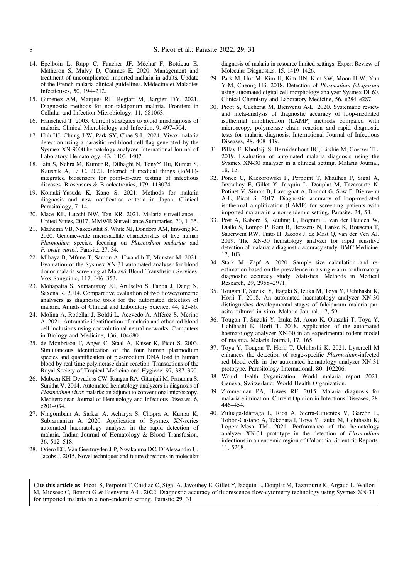- 14. Epelboin L, Rapp C, Faucher JF, Méchaï F, Bottieau E, Matheron S, Malvy D, Caumes E. 2020. Management and treatment of uncomplicated imported malaria in adults. Update of the French malaria clinical guidelines. Médecine et Maladies Infectieuses, 50, 194–212.
- 15. Gimenez AM, Marques RF, Regiart M, Bargieri DY. 2021. Diagnostic methods for non-falciparum malaria. Frontiers in Cellular and Infection Microbiology, 11, 681063.
- 16. Hänscheid T. 2003. Current strategies to avoid misdiagnosis of malaria. Clinical Microbiology and Infection, 9, 497–504.
- 17. Huh HJ, Chung J-W, Park SY, Chae S-L. 2021. Vivax malaria detection using a parasitic red blood cell flag generated by the Sysmex XN-9000 hematology analyzer. International Journal of Laboratory Hematology, 43, 1403–1407.
- 18. Jain S, Nehra M, Kumar R, Dilbaghi N, TonyY Hu, Kumar S, Kaushik A, Li C. 2021. Internet of medical things (IoMT) integrated biosensors for point-of-care testing of infectious diseases. Biosensors & Bioelectronics, 179, 113074.
- 19. Komaki-Yasuda K, Kano S. 2021. Methods for malaria diagnosis and new notification criteria in Japan. Clinical Parasitology, 7–14.
- 20. Mace KE, Lucchi NW, Tan KR. 2021. Malaria surveillance United States, 2017. MMWR Surveillance Summaries, 70, 1–35.
- 21. Mathema VB, Nakeesathit S, White NJ, Dondorp AM, Imwong M. 2020. Genome-wide microsatellite characteristics of five human Plasmodium species, focusing on Plasmodium malariae and P. ovale curtisi. Parasite, 27, 34.
- 22. M'baya B, Mfune T, Samon A, Hwandih T, Münster M. 2021. Evaluation of the Sysmex XN-31 automated analyser for blood donor malaria screening at Malawi Blood Transfusion Services. Vox Sanguinis, 117, 346–353.
- 23. Mohapatra S, Samantaray JC, Arulselvi S, Panda J, Dang N, Saxena R. 2014. Comparative evaluation of two flowcytometric analysers as diagnostic tools for the automated detection of malaria. Annals of Clinical and Laboratory Science, 44, 82–86.
- 24. Molina A, Rodellar J, Boldú L, Acevedo A, Alférez S, Merino A. 2021. Automatic identification of malaria and other red blood cell inclusions using convolutional neural networks. Computers in Biology and Medicine, 136, 104680.
- 25. de Monbrison F, Angei C, Staal A, Kaiser K, Picot S. 2003. Simultaneous identification of the four human plasmodium species and quantification of plasmodium DNA load in human blood by real-time polymerase chain reaction. Transactions of the Royal Society of Tropical Medicine and Hygiene, 97, 387–390.
- 26. Mubeen KH, Devadoss CW, Rangan RA, Gitanjali M, Prasanna S, Sunitha V. 2014. Automated hematology analyzers in diagnosis of Plasmodium vivax malaria: an adjunct to conventional microscopy. Mediterranean Journal of Hematology and Infectious Diseases, 6, e2014034.
- 27. Ningombam A, Sarkar A, Acharya S, Chopra A, Kumar K, Subramanian A. 2020. Application of Sysmex XN-series automated haematology analyser in the rapid detection of malaria. Indian Journal of Hematology & Blood Transfusion, 36, 512–518.
- 28. Oriero EC, Van Geertruyden J-P, Nwakanma DC, D'Alessandro U, Jacobs J. 2015. Novel techniques and future directions in molecular

diagnosis of malaria in resource-limited settings. Expert Review of Molecular Diagnostics, 15, 1419–1426.

- 29. Park M, Hur M, Kim H, Kim HN, Kim SW, Moon H-W, Yun Y-M, Cheong HS. 2018. Detection of Plasmodium falciparum using automated digital cell morphology analyzer Sysmex DI-60. Clinical Chemistry and Laboratory Medicine, 56, e284–e287.
- 30. Picot S, Cucherat M, Bienvenu A-L. 2020. Systematic review and meta-analysis of diagnostic accuracy of loop-mediated isothermal amplification (LAMP) methods compared with microscopy, polymerase chain reaction and rapid diagnostic tests for malaria diagnosis. International Journal of Infectious Diseases, 98, 408–419.
- 31. Pillay E, Khodaiji S, Bezuidenhout BC, Litshie M, Coetzer TL. 2019. Evaluation of automated malaria diagnosis using the Sysmex XN-30 analyser in a clinical setting. Malaria Journal, 18, 15.
- 32. Ponce C, Kaczorowski F, Perpoint T, Miailhes P, Sigal A, Javouhey E, Gillet Y, Jacquin L, Douplat M, Tazarourte K, Potinet V, Simon B, Lavoignat A, Bonnot G, Sow F, Bienvenu A-L, Picot S. 2017. Diagnostic accuracy of loop-mediated isothermal amplification (LAMP) for screening patients with imported malaria in a non-endemic setting. Parasite, 24, 53.
- 33. Post A, Kaboré B, Reuling IJ, Bognini J, van der Heijden W, Diallo S, Lompo P, Kam B, Herssens N, Lanke K, Bousema T, Sauerwein RW, Tinto H, Jacobs J, de Mast Q, van der Ven AJ. 2019. The XN-30 hematology analyzer for rapid sensitive detection of malaria: a diagnostic accuracy study. BMC Medicine, 17, 103.
- 34. Stark M, Zapf A. 2020. Sample size calculation and reestimation based on the prevalence in a single-arm confirmatory diagnostic accuracy study. Statistical Methods in Medical Research, 29, 2958–2971.
- 35. Tougan T, Suzuki Y, Itagaki S, Izuka M, Toya Y, Uchihashi K, Horii T. 2018. An automated haematology analyzer XN-30 distinguishes developmental stages of falciparum malaria parasite cultured in vitro. Malaria Journal, 17, 59.
- 36. Tougan T, Suzuki Y, Izuka M, Aono K, Okazaki T, Toya Y, Uchihashi K, Horii T. 2018. Application of the automated haematology analyzer XN-30 in an experimental rodent model of malaria. Malaria Journal, 17, 165.
- 37. Toya Y, Tougan T, Horii T, Uchihashi K. 2021. Lysercell M enhances the detection of stage-specific Plasmodium-infected red blood cells in the automated hematology analyzer XN-31 prototype. Parasitology International, 80, 102206.
- 38. World Health Organization. World malaria report 2021. Geneva, Switzerland: World Health Organization.
- 39. Zimmerman PA, Howes RE. 2015. Malaria diagnosis for malaria elimination. Current Opinion in Infectious Diseases, 28, 446–454.
- 40. Zuluaga-Idárraga L, Rios A, Sierra-Cifuentes V, Garzón E, Tobón-Castaño A, Takehara I, Toya Y, Izuka M, Uchihashi K, Lopera-Mesa TM. 2021. Performance of the hematology analyzer XN-31 prototype in the detection of Plasmodium infections in an endemic region of Colombia. Scientific Reports, 11, 5268.

Cite this article as: Picot S, Perpoint T, Chidiac C, Sigal A, Javouhey E, Gillet Y, Jacquin L, Douplat M, Tazarourte K, Argaud L, Wallon M, Miossec C, Bonnot G & Bienvenu A-L. 2022. Diagnostic accuracy of fluorescence flow-cytometry technology using Sysmex XN-31 for imported malaria in a non-endemic setting. Parasite 29, 31.

<span id="page-7-0"></span>